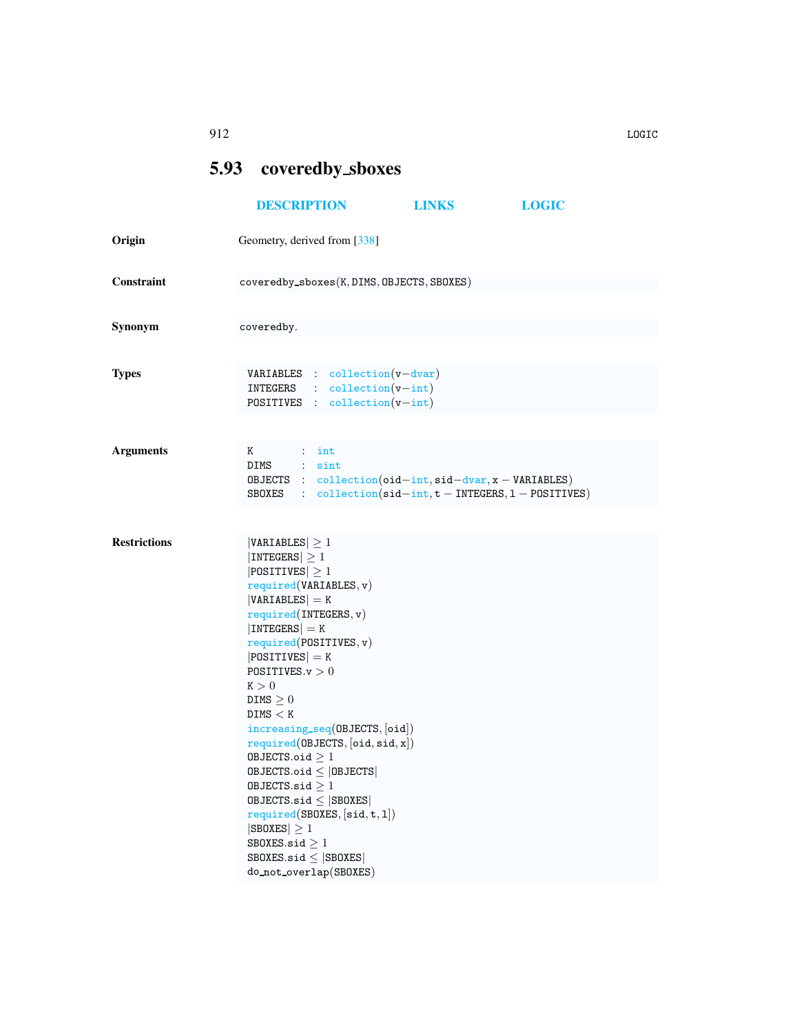## <span id="page-0-0"></span>5.93 coveredby sboxes

|                     | <b>DESCRIPTION</b>                                                                                                                                                                                                                                                                                                                                                                                                                                                                                                                                                                            | <b>LINKS</b> | <b>LOGIC</b> |  |  |  |
|---------------------|-----------------------------------------------------------------------------------------------------------------------------------------------------------------------------------------------------------------------------------------------------------------------------------------------------------------------------------------------------------------------------------------------------------------------------------------------------------------------------------------------------------------------------------------------------------------------------------------------|--------------|--------------|--|--|--|
| Origin              | Geometry, derived from [338]                                                                                                                                                                                                                                                                                                                                                                                                                                                                                                                                                                  |              |              |  |  |  |
| Constraint          | $coveredby_sboxes(K, DIMS, OBJECTS, SBOKES)$                                                                                                                                                                                                                                                                                                                                                                                                                                                                                                                                                  |              |              |  |  |  |
| Synonym             | coveredby.                                                                                                                                                                                                                                                                                                                                                                                                                                                                                                                                                                                    |              |              |  |  |  |
| <b>Types</b>        | $VARIABLES$ : collection( $v$ -dvar)<br>$INTEGRS$ : $collection(v-int)$<br><b>POSITIVES</b> : collection( $v-int$ )                                                                                                                                                                                                                                                                                                                                                                                                                                                                           |              |              |  |  |  |
| <b>Arguments</b>    | K<br>$\cdots$ int<br>DIMS : sint<br>OBJECTS : $\text{collection}(\text{oid} - \text{int}, \text{sid} - \text{dvar}, x - \text{VARIABLES})$<br>SBOXES : $\text{collection}(\text{sid-int}, t - \text{INTERS}, 1 - \text{POSTTIVES})$                                                                                                                                                                                                                                                                                                                                                           |              |              |  |  |  |
| <b>Restrictions</b> | $ VARIABLES  \geq 1$<br> INTEGERS  > 1<br>$ POSITIVES  \geq 1$<br>required(VARIABLES, v)<br>$ VARIABLES $ = K<br>required(INTEGRS, v)<br>$ INTEGERS  = K$<br>required(POSTTIVES, v)<br>$ POSITIVES $ = K<br>POSITIVES. $v > 0$<br>K > 0<br>DIMS $\geq 0$<br>DIMS < K<br>increasing_seq(OBJECTS, [oid])<br>required(DBJECTS, [oid, sid, x])<br>OBJECTS.oid $\geq 1$<br>$0$ BJECTS.oid $\leq$  OBJECTS <br>OBJECTS.sid $\geq 1$<br>OBJECTS.sid $\leq$ SBOXES<br>required(SBOXES, [sid, t, 1])<br>$ SBOKES  \geq 1$<br>SBOXES.sid $\geq 1$<br>SBOXES.sid $\leq$ SBOXES<br>do_not_overlap(SBOXES) |              |              |  |  |  |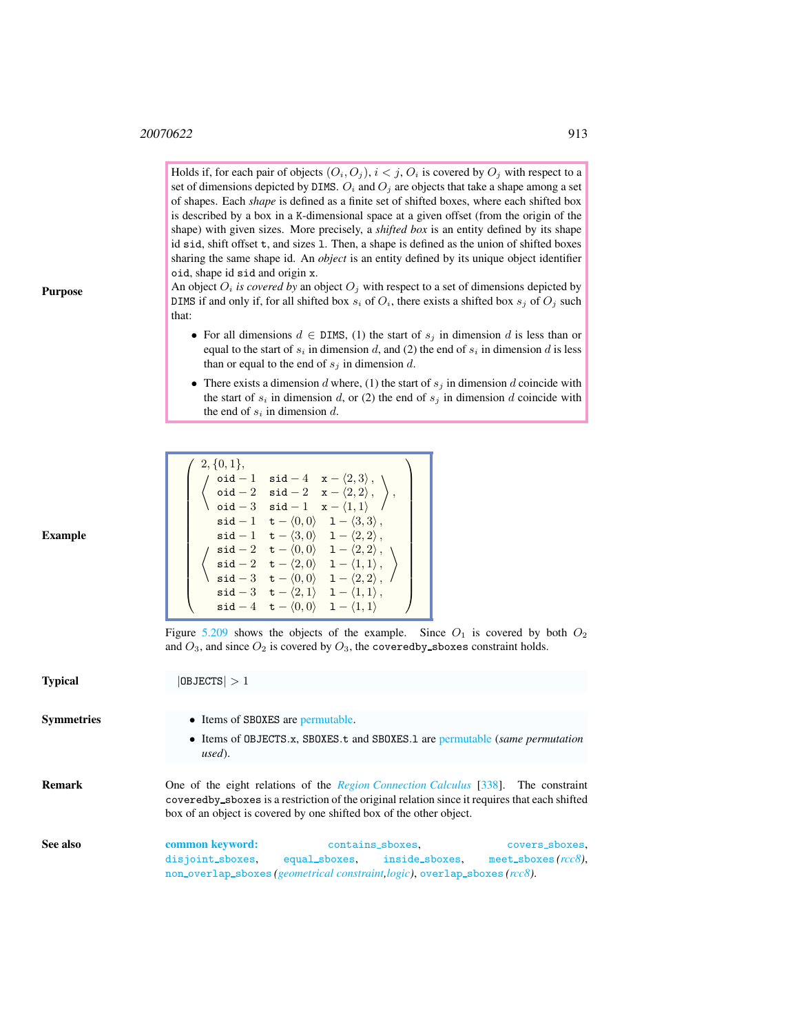Holds if, for each pair of objects  $(O_i, O_j)$ ,  $i < j$ ,  $O_i$  is covered by  $O_j$  with respect to a set of dimensions depicted by DIMS.  $O_i$  and  $O_j$  are objects that take a shape among a set of shapes. Each *shape* is defined as a finite set of shifted boxes, where each shifted box is described by a box in a K-dimensional space at a given offset (from the origin of the shape) with given sizes. More precisely, a *shifted box* is an entity defined by its shape id sid, shift offset t, and sizes l. Then, a shape is defined as the union of shifted boxes sharing the same shape id. An *object* is an entity defined by its unique object identifier oid, shape id sid and origin x.

An object  $O_i$  *is covered by* an object  $O_j$  with respect to a set of dimensions depicted by DIMS if and only if, for all shifted box  $s_i$  of  $O_i$ , there exists a shifted box  $s_j$  of  $O_j$  such that:

- For all dimensions  $d \in \text{DIMS}$ , (1) the start of  $s_j$  in dimension d is less than or equal to the start of  $s_i$  in dimension d, and (2) the end of  $s_i$  in dimension d is less than or equal to the end of  $s_j$  in dimension d.
- There exists a dimension d where, (1) the start of  $s_j$  in dimension d coincide with the start of  $s_i$  in dimension d, or (2) the end of  $s_j$  in dimension d coincide with the end of  $s_i$  in dimension d.

| $2, \{0,1\},\$    |                                                            |                                    |                                                                                             |  |
|-------------------|------------------------------------------------------------|------------------------------------|---------------------------------------------------------------------------------------------|--|
| $oid - 1$         |                                                            |                                    | $\texttt{sid} - 4 \quad \texttt{x} - \langle 2,3 \rangle$ , \                               |  |
|                   | $\verb oid - 2 $                                           |                                    | $\texttt{sid} - 2 \quad \texttt{x} - \langle 2, 2 \rangle$ ,                                |  |
| \ $\circ$ id $-3$ |                                                            | $sid-1$                            | $\mathbf{x} - \langle 1, 1 \rangle$                                                         |  |
|                   |                                                            |                                    | $\mathsf{sid} - 1 \quad \mathsf{t} - \langle 0, 0 \rangle \quad 1 - \langle 3, 3 \rangle$ , |  |
|                   |                                                            |                                    | $\texttt{sid} - 1 \quad \texttt{t} - \langle 3, 0 \rangle \quad 1 - \langle 2, 2 \rangle$ , |  |
|                   |                                                            |                                    | $\texttt{sid} - 2 \quad \texttt{t} - \langle 0, 0 \rangle \quad 1 - \langle 2, 2 \rangle$ , |  |
| $\mathsf{sid}-2$  |                                                            | $\mathtt{t}-\langle 2,0\rangle$    | $1 - \langle 1, 1 \rangle$ ,                                                                |  |
|                   | $\texttt{sid} - 3 \quad \texttt{t} - \langle 0, 0 \rangle$ |                                    | $1 - \langle 2, 2 \rangle$ , /                                                              |  |
|                   |                                                            |                                    | $\mathsf{sid-3} \quad \mathsf{t}-\langle 2,1\rangle \quad 1-\langle 1,1\rangle\,,$          |  |
| $sid-4$           |                                                            | $\mathsf{t} - \langle 0,0 \rangle$ | $1 - \langle 1, 1 \rangle$                                                                  |  |

Figure [5.209](#page-2-0) shows the objects of the example. Since  $O_1$  is covered by both  $O_2$ and  $O_3$ , and since  $O_2$  is covered by  $O_3$ , the covered by sboxes constraint holds.

<span id="page-1-0"></span>

| <b>Typical</b>    | $ 0$ BJECTS $ >1$                           |                                                                                                                                                                                                                                                                     |                                          |  |  |
|-------------------|---------------------------------------------|---------------------------------------------------------------------------------------------------------------------------------------------------------------------------------------------------------------------------------------------------------------------|------------------------------------------|--|--|
| <b>Symmetries</b> | • Items of SBOXES are permutable.<br>used). | • Items of OBJECTS.x, SBOXES.t and SBOXES.1 are permutable (same permutation                                                                                                                                                                                        |                                          |  |  |
| <b>Remark</b>     |                                             | One of the eight relations of the <i>Region Connection Calculus</i> [338]. The constraint<br>covered by shoxes is a restriction of the original relation since it requires that each shifted<br>box of an object is covered by one shifted box of the other object. |                                          |  |  |
| See also          | common keyword:<br>disjoint_sboxes,         | contains_sboxes,<br>equal_sboxes. inside_sboxes.<br>non_overlap_sboxes( <i>geometrical constraint, logic</i> ), overlap_sboxes( <i>rcc8</i> ).                                                                                                                      | covers_sboxes.<br>meet_sboxes $(rcc8)$ , |  |  |

Purpose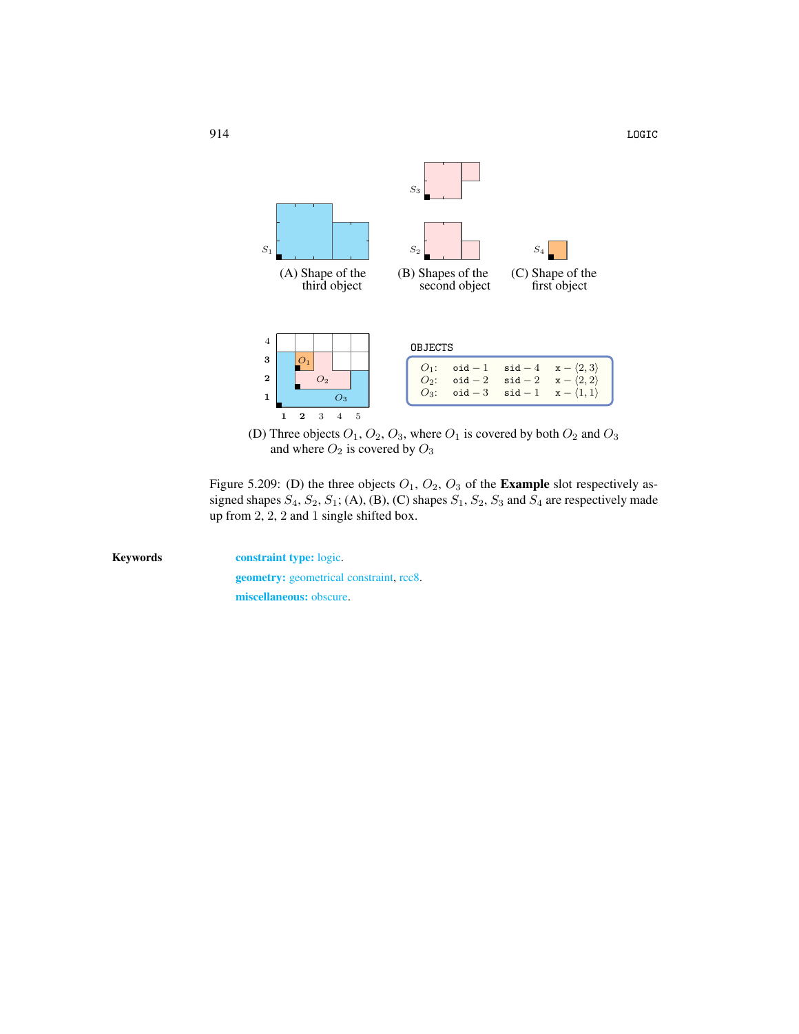

<span id="page-2-0"></span>(D) Three objects  $O_1$ ,  $O_2$ ,  $O_3$ , where  $O_1$  is covered by both  $O_2$  and  $O_3$ and where  $O_2$  is covered by  $O_3$ 

Figure 5.209: (D) the three objects  $O_1$ ,  $O_2$ ,  $O_3$  of the **Example** slot respectively assigned shapes  $S_4$ ,  $S_2$ ,  $S_1$ ; (A), (B), (C) shapes  $S_1$ ,  $S_2$ ,  $S_3$  and  $S_4$  are respectively made up from 2, 2, 2 and 1 single shifted box.

Keywords constraint type: logic. geometry: geometrical constraint, rcc8. miscellaneous: obscure.